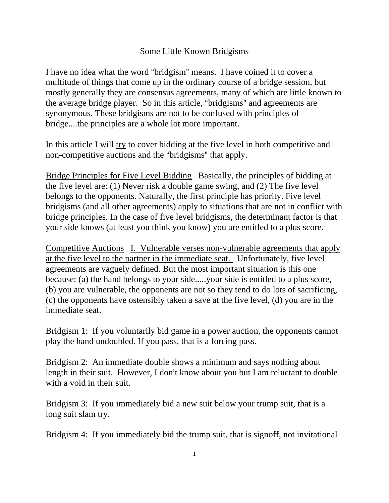## Some Little Known Bridgisms

I have no idea what the word "bridgism" means. I have coined it to cover a multitude of things that come up in the ordinary course of a bridge session, but mostly generally they are consensus agreements, many of which are little known to the average bridge player. So in this article, "bridgisms" and agreements are synonymous. These bridgisms are not to be confused with principles of bridge....the principles are a whole lot more important.

In this article I will try to cover bidding at the five level in both competitive and non-competitive auctions and the "bridgisms" that apply.

Bridge Principles for Five Level Bidding Basically, the principles of bidding at the five level are: (1) Never risk a double game swing, and (2) The five level belongs to the opponents. Naturally, the first principle has priority. Five level bridgisms (and all other agreements) apply to situations that are not in conflict with bridge principles. In the case of five level bridgisms, the determinant factor is that your side knows (at least you think you know) you are entitled to a plus score.

Competitive Auctions I. Vulnerable verses non-vulnerable agreements that apply at the five level to the partner in the immediate seat. Unfortunately, five level agreements are vaguely defined. But the most important situation is this one because: (a) the hand belongs to your side.....your side is entitled to a plus score, (b) you are vulnerable, the opponents are not so they tend to do lots of sacrificing, (c) the opponents have ostensibly taken a save at the five level, (d) you are in the immediate seat.

Bridgism 1: If you voluntarily bid game in a power auction, the opponents cannot play the hand undoubled. If you pass, that is a forcing pass.

Bridgism 2: An immediate double shows a minimum and says nothing about length in their suit. However, I don't know about you but I am reluctant to double with a void in their suit.

Bridgism 3: If you immediately bid a new suit below your trump suit, that is a long suit slam try.

Bridgism 4: If you immediately bid the trump suit, that is signoff, not invitational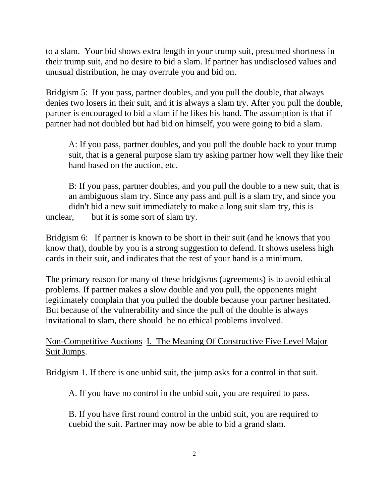to a slam. Your bid shows extra length in your trump suit, presumed shortness in their trump suit, and no desire to bid a slam. If partner has undisclosed values and unusual distribution, he may overrule you and bid on.

Bridgism 5: If you pass, partner doubles, and you pull the double, that always denies two losers in their suit, and it is always a slam try. After you pull the double, partner is encouraged to bid a slam if he likes his hand. The assumption is that if partner had not doubled but had bid on himself, you were going to bid a slam.

A: If you pass, partner doubles, and you pull the double back to your trump suit, that is a general purpose slam try asking partner how well they like their hand based on the auction, etc.

B: If you pass, partner doubles, and you pull the double to a new suit, that is an ambiguous slam try. Since any pass and pull is a slam try, and since you didn't bid a new suit immediately to make a long suit slam try, this is unclear, but it is some sort of slam try.

Bridgism 6: If partner is known to be short in their suit (and he knows that you know that), double by you is a strong suggestion to defend. It shows useless high cards in their suit, and indicates that the rest of your hand is a minimum.

The primary reason for many of these bridgisms (agreements) is to avoid ethical problems. If partner makes a slow double and you pull, the opponents might legitimately complain that you pulled the double because your partner hesitated. But because of the vulnerability and since the pull of the double is always invitational to slam, there should be no ethical problems involved.

Non-Competitive Auctions I. The Meaning Of Constructive Five Level Major Suit Jumps.

Bridgism 1. If there is one unbid suit, the jump asks for a control in that suit.

A. If you have no control in the unbid suit, you are required to pass.

B. If you have first round control in the unbid suit, you are required to cuebid the suit. Partner may now be able to bid a grand slam.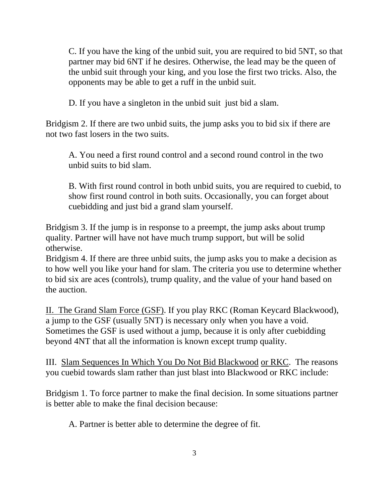C. If you have the king of the unbid suit, you are required to bid 5NT, so that partner may bid 6NT if he desires. Otherwise, the lead may be the queen of the unbid suit through your king, and you lose the first two tricks. Also, the opponents may be able to get a ruff in the unbid suit.

D. If you have a singleton in the unbid suit just bid a slam.

Bridgism 2. If there are two unbid suits, the jump asks you to bid six if there are not two fast losers in the two suits.

A. You need a first round control and a second round control in the two unbid suits to bid slam.

B. With first round control in both unbid suits, you are required to cuebid, to show first round control in both suits. Occasionally, you can forget about cuebidding and just bid a grand slam yourself.

Bridgism 3. If the jump is in response to a preempt, the jump asks about trump quality. Partner will have not have much trump support, but will be solid otherwise.

Bridgism 4. If there are three unbid suits, the jump asks you to make a decision as to how well you like your hand for slam. The criteria you use to determine whether to bid six are aces (controls), trump quality, and the value of your hand based on the auction.

II. The Grand Slam Force (GSF). If you play RKC (Roman Keycard Blackwood), a jump to the GSF (usually 5NT) is necessary only when you have a void. Sometimes the GSF is used without a jump, because it is only after cuebidding beyond 4NT that all the information is known except trump quality.

III. Slam Sequences In Which You Do Not Bid Blackwood or RKC. The reasons you cuebid towards slam rather than just blast into Blackwood or RKC include:

Bridgism 1. To force partner to make the final decision. In some situations partner is better able to make the final decision because:

A. Partner is better able to determine the degree of fit.